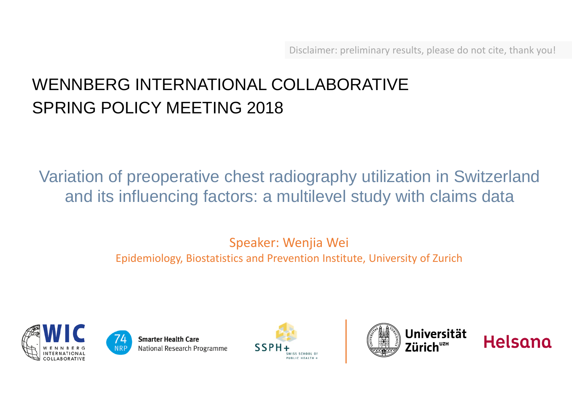# WENNBERG INTERNATIONAL COLLABORATIVE SPRING POLICY MEETING 2018

Variation of preoperative chest radiography utilization in Switzerland and its influencing factors: a multilevel study with claims data

> Speaker: Wenjia Wei Epidemiology, Biostatistics and Prevention Institute, University of Zurich









Helsana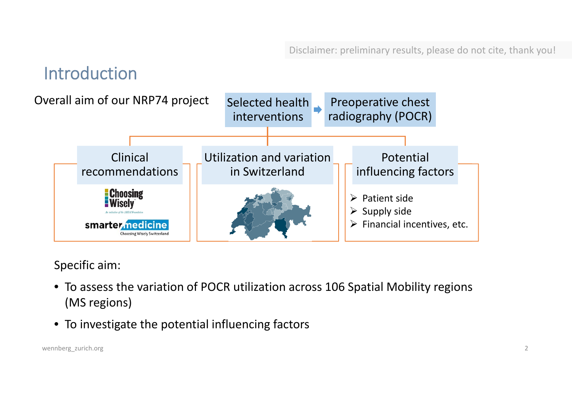# Introduction



Specific aim:

- To assess the variation of POCR utilization across 106 Spatial Mobility regions (MS regions)
- To investigate the potential influencing factors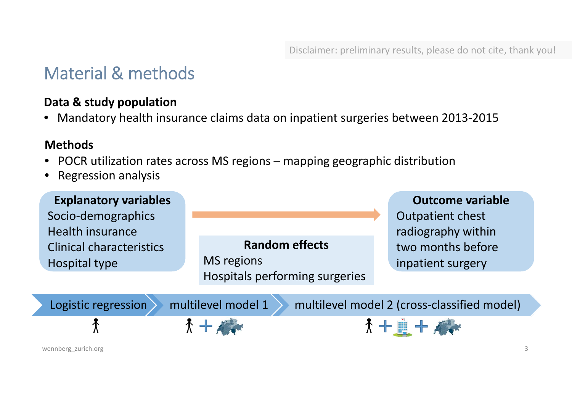# Material & methods

### **Data & study population**

• Mandatory health insurance claims data on inpatient surgeries between 2013‐2015

#### **Methods**

- POCR utilization rates across MS regions mapping geographic distribution
- •Regression analysis

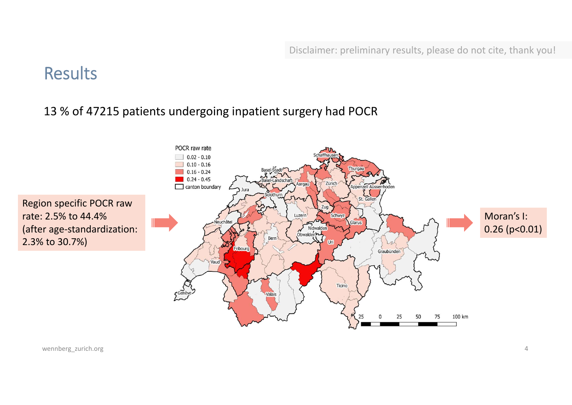### Results

### 13 % of 47215 patients undergoing inpatient surgery had POCR

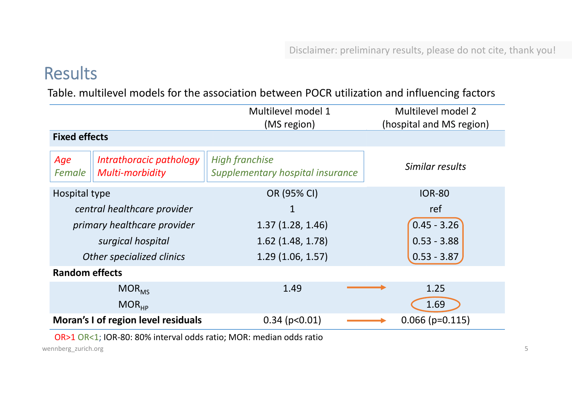# Results

Table. multilevel models for the association between POCR utilization and influencing factors

|                                     |                                                   | Multilevel model 1<br>(MS region)                         | Multilevel model 2<br>(hospital and MS region) |
|-------------------------------------|---------------------------------------------------|-----------------------------------------------------------|------------------------------------------------|
| <b>Fixed effects</b>                |                                                   |                                                           |                                                |
| Age<br>Female                       | Intrathoracic pathology<br><b>Multi-morbidity</b> | <b>High franchise</b><br>Supplementary hospital insurance | Similar results                                |
| Hospital type                       |                                                   | OR (95% CI)                                               | <b>IOR-80</b>                                  |
| central healthcare provider         |                                                   | 1                                                         | ref                                            |
| primary healthcare provider         |                                                   | 1.37(1.28, 1.46)                                          | $0.45 - 3.26$                                  |
|                                     | surgical hospital                                 | $1.62$ (1.48, 1.78)                                       | $0.53 - 3.88$                                  |
| Other specialized clinics           |                                                   | 1.29(1.06, 1.57)                                          | $0.53 - 3.87$                                  |
| <b>Random effects</b>               |                                                   |                                                           |                                                |
|                                     | $MOR_{MS}$                                        | 1.49                                                      | 1.25                                           |
|                                     | MOR <sub>HP</sub>                                 |                                                           | 1.69                                           |
| Moran's I of region level residuals |                                                   | $0.34$ (p<0.01)                                           | $0.066$ (p=0.115)                              |

OR>1 OR<1; IOR‐80: 80% interval odds ratio; MOR: median odds ratio

wennberg\_zurich.org 5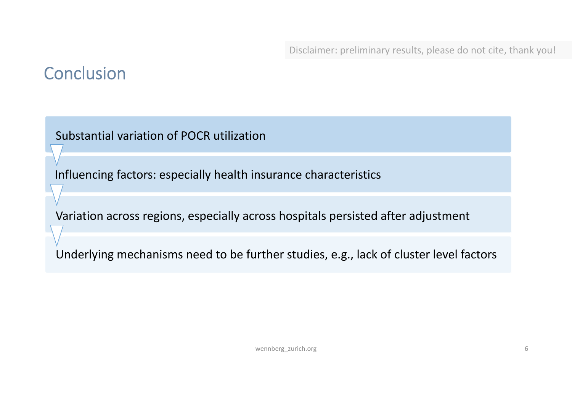# **Conclusion**

Substantial variation of POCR utilization

Influencing factors: especially health insurance characteristics

Variation across regions, especially across hospitals persisted after adjustment

Underlying mechanisms need to be further studies, e.g., lack of cluster level factors